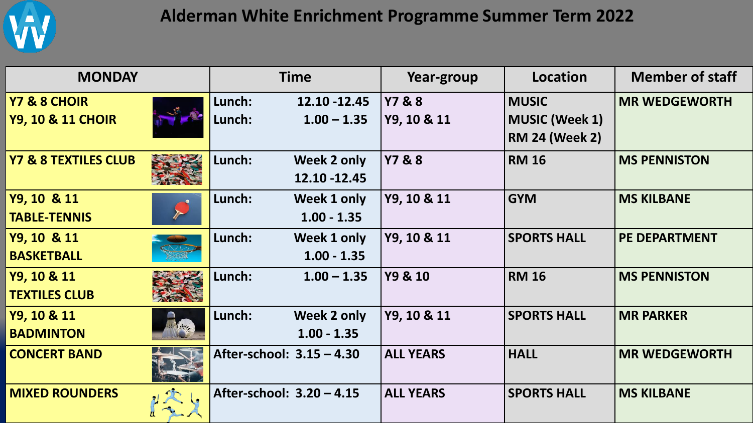

## **Alderman White Enrichment Programme Summer Term 2022**

| <b>MONDAY</b>                   |  | <b>Time</b>               |               | Year-group        | Location              | <b>Member of staff</b> |
|---------------------------------|--|---------------------------|---------------|-------------------|-----------------------|------------------------|
| Y7 & 8 CHOIR                    |  | Lunch:                    | 12.10 - 12.45 | <b>Y7 &amp; 8</b> | <b>MUSIC</b>          | <b>MR WEDGEWORTH</b>   |
| <b>Y9, 10 &amp; 11 CHOIR</b>    |  | Lunch:                    | $1.00 - 1.35$ | Y9, 10 & 11       | <b>MUSIC (Week 1)</b> |                        |
|                                 |  |                           |               |                   | <b>RM 24 (Week 2)</b> |                        |
| <b>Y7 &amp; 8 TEXTILES CLUB</b> |  | Lunch:                    | Week 2 only   | <b>Y7 &amp; 8</b> | <b>RM 16</b>          | <b>MS PENNISTON</b>    |
|                                 |  |                           | 12.10 - 12.45 |                   |                       |                        |
| Y9, 10 & 11                     |  | Lunch:                    | Week 1 only   | Y9, 10 & 11       | <b>GYM</b>            | <b>MS KILBANE</b>      |
| <b>TABLE-TENNIS</b>             |  |                           | $1.00 - 1.35$ |                   |                       |                        |
| Y9, 10 & 11                     |  | Lunch:                    | Week 1 only   | Y9, 10 & 11       | <b>SPORTS HALL</b>    | <b>PE DEPARTMENT</b>   |
| <b>BASKETBALL</b>               |  |                           | $1.00 - 1.35$ |                   |                       |                        |
| Y9, 10 & 11                     |  | Lunch:                    | $1.00 - 1.35$ | Y9 & 10           | <b>RM 16</b>          | <b>MS PENNISTON</b>    |
| <b>TEXTILES CLUB</b>            |  |                           |               |                   |                       |                        |
| Y9, 10 & 11                     |  | Lunch:                    | Week 2 only   | Y9, 10 & 11       | <b>SPORTS HALL</b>    | <b>MR PARKER</b>       |
| <b>BADMINTON</b>                |  |                           | $1.00 - 1.35$ |                   |                       |                        |
| <b>CONCERT BAND</b>             |  | After-school: 3.15 - 4.30 |               | <b>ALL YEARS</b>  | <b>HALL</b>           | <b>MR WEDGEWORTH</b>   |
| <b>MIXED ROUNDERS</b>           |  | After-school: 3.20 - 4.15 |               | <b>ALL YEARS</b>  | <b>SPORTS HALL</b>    | <b>MS KILBANE</b>      |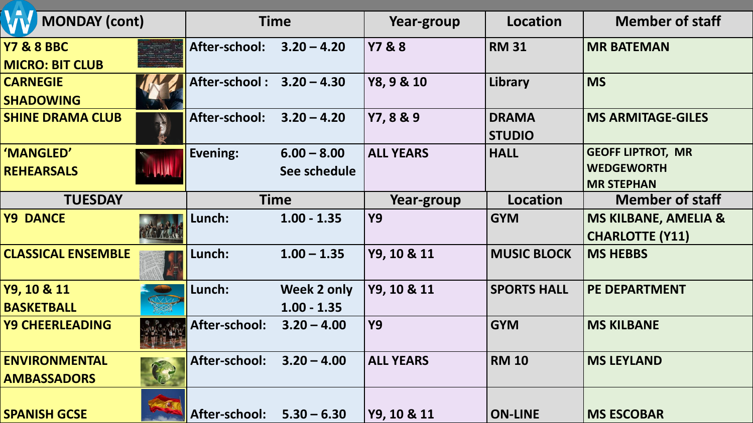| <b>MONDAY</b> (cont)                            |   | <b>Time</b>               |               | Year-group        | <b>Location</b>               | <b>Member of staff</b>                                    |
|-------------------------------------------------|---|---------------------------|---------------|-------------------|-------------------------------|-----------------------------------------------------------|
| <b>Y7 &amp; 8 BBC</b><br><b>MICRO: BIT CLUB</b> |   | After-school:             | $3.20 - 4.20$ | <b>Y7 &amp; 8</b> | <b>RM 31</b>                  | <b>MR BATEMAN</b>                                         |
| <b>CARNEGIE</b><br><b>SHADOWING</b>             |   | After-school: 3.20 - 4.30 |               | Y8, 9 & 10        | Library                       | <b>MS</b>                                                 |
| <b>SHINE DRAMA CLUB</b>                         |   | After-school:             | $3.20 - 4.20$ | Y7, 8 & 9         | <b>DRAMA</b><br><b>STUDIO</b> | <b>MS ARMITAGE-GILES</b>                                  |
| 'MANGLED'                                       |   | Evening:                  | $6.00 - 8.00$ | <b>ALL YEARS</b>  | <b>HALL</b>                   | <b>GEOFF LIPTROT, MR</b>                                  |
| <b>REHEARSALS</b>                               |   |                           | See schedule  |                   |                               | <b>WEDGEWORTH</b>                                         |
| <b>TUESDAY</b>                                  |   | <b>Time</b>               |               | Year-group        | <b>Location</b>               | <b>MR STEPHAN</b><br><b>Member of staff</b>               |
|                                                 |   |                           |               |                   |                               |                                                           |
| <b>Y9 DANCE</b>                                 |   | Lunch:                    | $1.00 - 1.35$ | <b>Y9</b>         | <b>GYM</b>                    | <b>MS KILBANE, AMELIA &amp;</b><br><b>CHARLOTTE (Y11)</b> |
| <b>CLASSICAL ENSEMBLE</b>                       |   | Lunch:                    | $1.00 - 1.35$ | Y9, 10 & 11       | <b>MUSIC BLOCK</b>            | <b>MS HEBBS</b>                                           |
| Y9, 10 & 11                                     |   | Lunch:                    | Week 2 only   | Y9, 10 & 11       | <b>SPORTS HALL</b>            | <b>PE DEPARTMENT</b>                                      |
| <b>BASKETBALL</b>                               |   |                           | $1.00 - 1.35$ |                   |                               |                                                           |
| <b>Y9 CHEERLEADING</b>                          |   | After-school:             | $3.20 - 4.00$ | <b>Y9</b>         | <b>GYM</b>                    | <b>MS KILBANE</b>                                         |
| <b>ENVIRONMENTAL</b><br><b>AMBASSADORS</b>      | B | After-school: 3.20 - 4.00 |               | <b>ALL YEARS</b>  | <b>RM 10</b>                  | <b>MS LEYLAND</b>                                         |
| <b>SPANISH GCSE</b>                             |   | After-school: 5.30 - 6.30 |               | Y9, 10 & 11       | <b>ON-LINE</b>                | <b>MS ESCOBAR</b>                                         |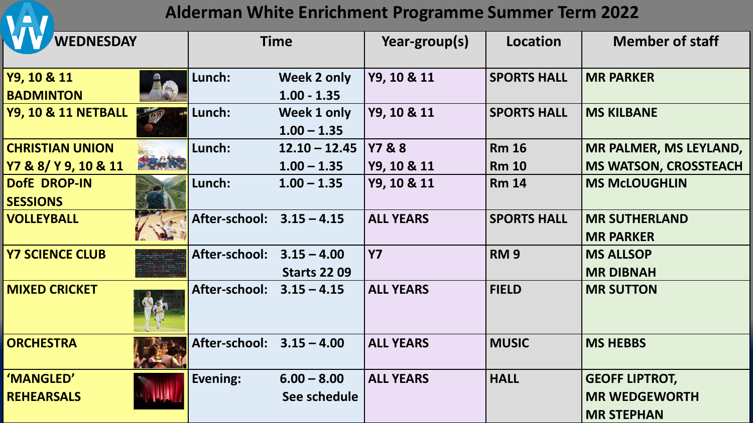**Alderman White Enrichment Programme Summer Term 2022**

**TA** 

| <b>WEDNESDAY</b>                |      | <b>Time</b>                 |                              | Year-group(s)    | Location           | <b>Member of staff</b>       |
|---------------------------------|------|-----------------------------|------------------------------|------------------|--------------------|------------------------------|
| Y9, 10 & 11<br><b>BADMINTON</b> |      | Lunch:                      | Week 2 only<br>$1.00 - 1.35$ | Y9, 10 & 11      | <b>SPORTS HALL</b> | <b>MR PARKER</b>             |
| <b>Y9, 10 &amp; 11 NETBALL</b>  |      | Lunch:                      | Week 1 only<br>$1.00 - 1.35$ | Y9, 10 & 11      | <b>SPORTS HALL</b> | <b>MS KILBANE</b>            |
| <b>CHRISTIAN UNION</b>          |      | Lunch:                      | $12.10 - 12.45$ Y7 & 8       |                  | <b>Rm 16</b>       | MR PALMER, MS LEYLAND,       |
| Y7 & 8/ Y 9, 10 & 11            | 安全航天 |                             | $1.00 - 1.35$                | Y9, 10 & 11      | <b>Rm 10</b>       | <b>MS WATSON, CROSSTEACH</b> |
| <b>DofE DROP-IN</b>             |      | Lunch:                      | $1.00 - 1.35$                | Y9, 10 & 11      | <b>Rm 14</b>       | <b>MS McLOUGHLIN</b>         |
| <b>SESSIONS</b>                 |      |                             |                              |                  |                    |                              |
| <b>VOLLEYBALL</b>               |      | After-school: 3.15 - 4.15   |                              | <b>ALL YEARS</b> | <b>SPORTS HALL</b> | <b>MR SUTHERLAND</b>         |
|                                 |      |                             |                              |                  |                    | <b>MR PARKER</b>             |
| <b>Y7 SCIENCE CLUB</b>          |      | After-school: 3.15 - 4.00   |                              | <b>Y7</b>        | RM <sub>9</sub>    | <b>MS ALLSOP</b>             |
|                                 |      |                             | <b>Starts 22 09</b>          |                  |                    | <b>MR DIBNAH</b>             |
| <b>MIXED CRICKET</b>            |      | After-school: $3.15 - 4.15$ |                              | <b>ALL YEARS</b> | <b>FIELD</b>       | <b>MR SUTTON</b>             |
| <b>ORCHESTRA</b>                |      | After-school: 3.15 - 4.00   |                              | <b>ALL YEARS</b> | <b>MUSIC</b>       | <b>MS HEBBS</b>              |
| 'MANGLED'                       |      | Evening:                    | $6.00 - 8.00$                | <b>ALL YEARS</b> | <b>HALL</b>        | <b>GEOFF LIPTROT,</b>        |
| <b>REHEARSALS</b>               |      |                             | See schedule                 |                  |                    | <b>MR WEDGEWORTH</b>         |
|                                 |      |                             |                              |                  |                    | <b>MR STEPHAN</b>            |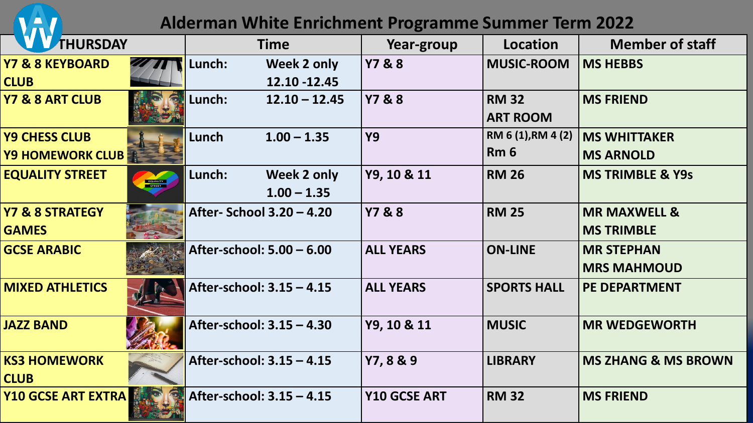| <b>Alderman White Enrichment Programme Summer Term 2022</b> |          |                           |                 |                     |                                 |                                |  |  |
|-------------------------------------------------------------|----------|---------------------------|-----------------|---------------------|---------------------------------|--------------------------------|--|--|
| <b>THURSDAY</b>                                             |          |                           | <b>Time</b>     | Year-group          | Location                        | <b>Member of staff</b>         |  |  |
| <b>Y7 &amp; 8 KEYBOARD</b>                                  |          | Lunch:                    | Week 2 only     | <b>Y7&amp;8</b>     | <b>MUSIC-ROOM</b>               | <b>MS HEBBS</b>                |  |  |
| <b>CLUB</b>                                                 |          |                           | 12.10 - 12.45   |                     |                                 |                                |  |  |
| Y7 & 8 ART CLUB                                             |          | Lunch:                    | $12.10 - 12.45$ | <b>Y7 &amp; 8</b>   | <b>RM 32</b><br><b>ART ROOM</b> | <b>MS FRIEND</b>               |  |  |
| <b>Y9 CHESS CLUB</b>                                        |          | Lunch                     | $1.00 - 1.35$   | <b>Y9</b>           | RM 6 (1), RM 4 (2)              | <b>MS WHITTAKER</b>            |  |  |
| <b>Y9 HOMEWORK CLUBE</b>                                    |          |                           |                 |                     | Rm <sub>6</sub>                 | <b>MS ARNOLD</b>               |  |  |
| <b>EQUALITY STREET</b>                                      | EQUALITY | Lunch:                    | Week 2 only     | Y9, 10 & 11         | <b>RM 26</b>                    | <b>MS TRIMBLE &amp; Y9s</b>    |  |  |
|                                                             |          |                           | $1.00 - 1.35$   |                     |                                 |                                |  |  |
| <b>Y7 &amp; 8 STRATEGY</b>                                  |          | After- School 3.20 - 4.20 |                 | <b>Y7 &amp; 8</b>   | <b>RM 25</b>                    | <b>MR MAXWELL &amp;</b>        |  |  |
| <b>GAMES</b>                                                |          |                           |                 |                     |                                 | <b>MS TRIMBLE</b>              |  |  |
| <b>GCSE ARABIC</b>                                          |          | After-school: 5.00 - 6.00 |                 | <b>ALL YEARS</b>    | <b>ON-LINE</b>                  | <b>MR STEPHAN</b>              |  |  |
|                                                             |          |                           |                 |                     |                                 | <b>MRS MAHMOUD</b>             |  |  |
| <b>MIXED ATHLETICS</b>                                      |          | After-school: 3.15 - 4.15 |                 | <b>ALL YEARS</b>    | <b>SPORTS HALL</b>              | <b>PE DEPARTMENT</b>           |  |  |
| <b>JAZZ BAND</b>                                            |          | After-school: 3.15 - 4.30 |                 | Y9, 10 & 11         | <b>MUSIC</b>                    | <b>MR WEDGEWORTH</b>           |  |  |
| <b>KS3 HOMEWORK</b>                                         |          | After-school: 3.15 - 4.15 |                 | Y7, 8 & 9           | <b>LIBRARY</b>                  | <b>MS ZHANG &amp; MS BROWN</b> |  |  |
| <b>CLUB</b>                                                 |          |                           |                 |                     |                                 |                                |  |  |
| <b>Y10 GCSE ART EXTRA</b>                                   |          | After-school: 3.15 - 4.15 |                 | <b>Y10 GCSE ART</b> | <b>RM 32</b>                    | <b>MS FRIEND</b>               |  |  |